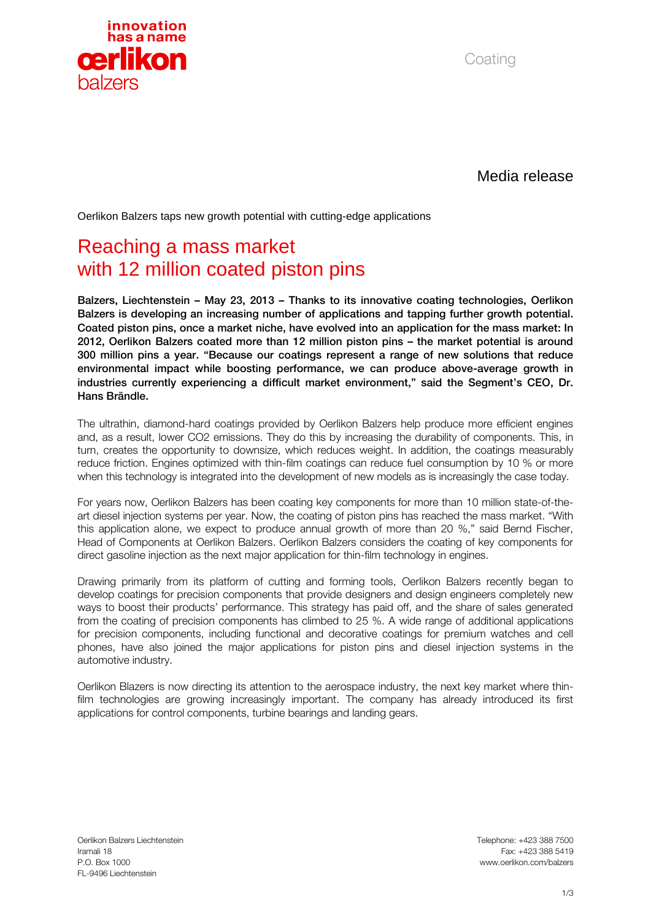

Coating

Media release

Oerlikon Balzers taps new growth potential with cutting-edge applications

## Reaching a mass market with 12 million coated piston pins

Balzers, Liechtenstein – May 23, 2013 – Thanks to its innovative coating technologies, Oerlikon Balzers is developing an increasing number of applications and tapping further growth potential. Coated piston pins, once a market niche, have evolved into an application for the mass market: In 2012, Oerlikon Balzers coated more than 12 million piston pins – the market potential is around 300 million pins a year. "Because our coatings represent a range of new solutions that reduce environmental impact while boosting performance, we can produce above-average growth in industries currently experiencing a difficult market environment," said the Segment's CEO, Dr. Hans Brändle.

The ultrathin, diamond-hard coatings provided by Oerlikon Balzers help produce more efficient engines and, as a result, lower CO2 emissions. They do this by increasing the durability of components. This, in turn, creates the opportunity to downsize, which reduces weight. In addition, the coatings measurably reduce friction. Engines optimized with thin-film coatings can reduce fuel consumption by 10 % or more when this technology is integrated into the development of new models as is increasingly the case today.

For years now, Oerlikon Balzers has been coating key components for more than 10 million state-of-theart diesel injection systems per year. Now, the coating of piston pins has reached the mass market. "With this application alone, we expect to produce annual growth of more than 20 %," said Bernd Fischer, Head of Components at Oerlikon Balzers. Oerlikon Balzers considers the coating of key components for direct gasoline injection as the next major application for thin-film technology in engines.

Drawing primarily from its platform of cutting and forming tools, Oerlikon Balzers recently began to develop coatings for precision components that provide designers and design engineers completely new ways to boost their products' performance. This strategy has paid off, and the share of sales generated from the coating of precision components has climbed to 25 %. A wide range of additional applications for precision components, including functional and decorative coatings for premium watches and cell phones, have also joined the major applications for piston pins and diesel injection systems in the automotive industry.

Oerlikon Blazers is now directing its attention to the aerospace industry, the next key market where thinfilm technologies are growing increasingly important. The company has already introduced its first applications for control components, turbine bearings and landing gears.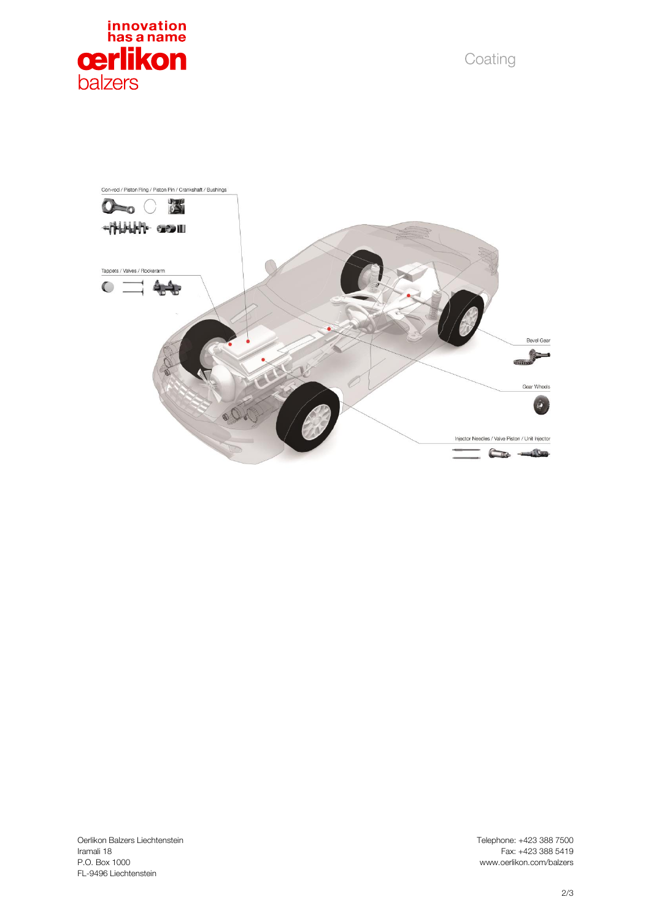

Coating



Oerlikon Balzers Liechtenstein<br>Iramali 18 Iramali 18 Fax: +423 388 5419 FL -9496 Liechtenstein

Telephone: +423 388 7500 www.oerlikon.com/balzers